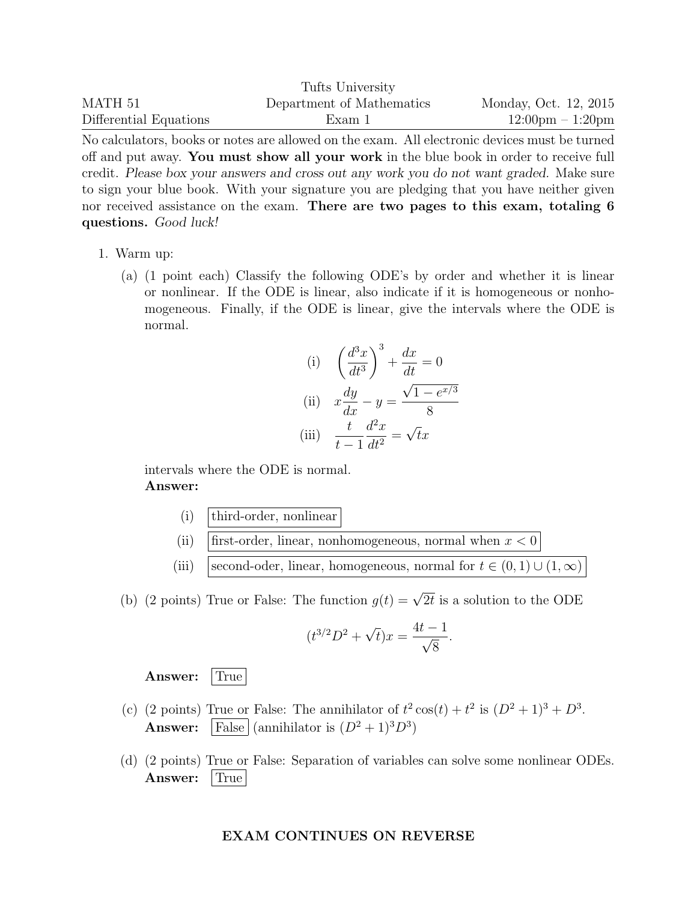|                        | Tufts University          |                                    |
|------------------------|---------------------------|------------------------------------|
| MATH 51                | Department of Mathematics | Monday, Oct. 12, 2015              |
| Differential Equations | Exam 1                    | $12:00 \text{pm} - 1:20 \text{pm}$ |

No calculators, books or notes are allowed on the exam. All electronic devices must be turned off and put away. You must show all your work in the blue book in order to receive full credit. Please box your answers and cross out any work you do not want graded. Make sure to sign your blue book. With your signature you are pledging that you have neither given nor received assistance on the exam. There are two pages to this exam, totaling 6 questions. Good luck!

- 1. Warm up:
	- (a) (1 point each) Classify the following ODE's by order and whether it is linear or nonlinear. If the ODE is linear, also indicate if it is homogeneous or nonhomogeneous. Finally, if the ODE is linear, give the intervals where the ODE is normal.

(i) 
$$
\left(\frac{d^3x}{dt^3}\right)^3 + \frac{dx}{dt} = 0
$$
  
\n(ii) 
$$
x\frac{dy}{dx} - y = \frac{\sqrt{1 - e^{x/3}}}{8}
$$
  
\n(iii) 
$$
\frac{t}{t-1}\frac{d^2x}{dt^2} = \sqrt{t}x
$$

intervals where the ODE is normal. Answer:

- $(i)$  third-order, nonlinear
- (ii) first-order, linear, nonhomogeneous, normal when  $x < 0$
- (iii) second-oder, linear, homogeneous, normal for  $t \in (0,1) \cup (1,\infty)$

(b) (2 points) True or False: The function  $g(t) = \sqrt{2t}$  is a solution to the ODE

$$
(t^{3/2}D^2 + \sqrt{t})x = \frac{4t - 1}{\sqrt{8}}.
$$

Answer: True

- (c) (2 points) True or False: The annihilator of  $t^2 \cos(t) + t^2$  is  $(D^2 + 1)^3 + D^3$ . **Answer:**  $\left|\text{False}\right|$  (annihilator is  $(D^2+1)^3D^3$ )
- (d) (2 points) True or False: Separation of variables can solve some nonlinear ODEs. Answer: True

## EXAM CONTINUES ON REVERSE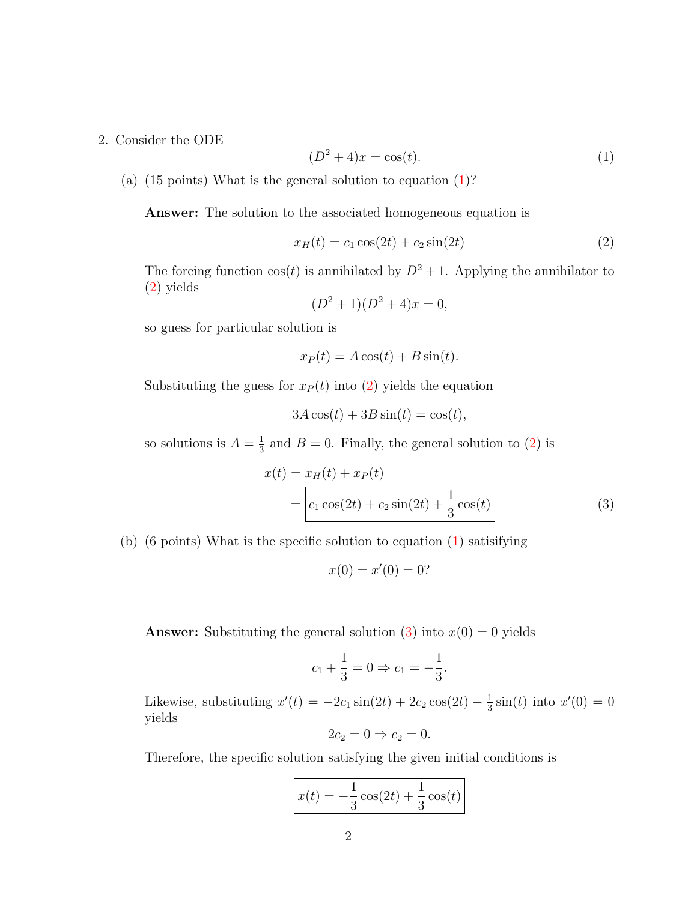2. Consider the ODE

<span id="page-1-0"></span>
$$
(D2 + 4)x = cos(t).
$$
 (1)

(a)  $(15 \text{ points})$  What is the general solution to equation  $(1)$ ?

Answer: The solution to the associated homogeneous equation is

<span id="page-1-1"></span>
$$
x_H(t) = c_1 \cos(2t) + c_2 \sin(2t)
$$
 (2)

The forcing function  $cos(t)$  is annihilated by  $D^2 + 1$ . Applying the annihilator to [\(2\)](#page-1-1) yields

$$
(D2 + 1)(D2 + 4)x = 0,
$$

so guess for particular solution is

$$
x_P(t) = A\cos(t) + B\sin(t).
$$

Substituting the guess for  $x_P (t)$  into [\(2\)](#page-1-1) yields the equation

$$
3A\cos(t) + 3B\sin(t) = \cos(t),
$$

so solutions is  $A=\frac{1}{3}$  $\frac{1}{3}$  and  $B = 0$ . Finally, the general solution to [\(2\)](#page-1-1) is

$$
x(t) = x_H(t) + x_P(t)
$$
  
= 
$$
c_1 \cos(2t) + c_2 \sin(2t) + \frac{1}{3} \cos(t)
$$
 (3)

(b) (6 points) What is the specific solution to equation [\(1\)](#page-1-0) satisifying

<span id="page-1-2"></span>
$$
x(0) = x'(0) = 0?
$$

**Answer:** Substituting the general solution [\(3\)](#page-1-2) into  $x(0) = 0$  yields

$$
c_1 + \frac{1}{3} = 0 \Rightarrow c_1 = -\frac{1}{3}.
$$

Likewise, substituting  $x'(t) = -2c_1 \sin(2t) + 2c_2 \cos(2t) - \frac{1}{3}$  $\frac{1}{3}\sin(t)$  into  $x'(0) = 0$ yields

$$
2c_2 = 0 \Rightarrow c_2 = 0.
$$

Therefore, the specific solution satisfying the given initial conditions is

$$
x(t) = -\frac{1}{3}\cos(2t) + \frac{1}{3}\cos(t)
$$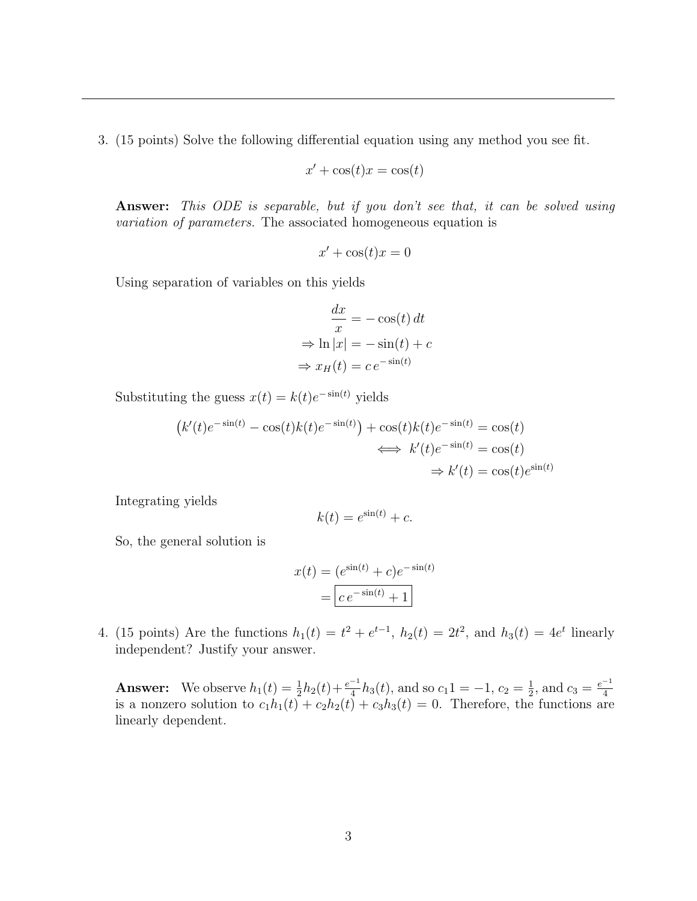3. (15 points) Solve the following differential equation using any method you see fit.

$$
x' + \cos(t)x = \cos(t)
$$

Answer: This ODE is separable, but if you don't see that, it can be solved using variation of parameters. The associated homogeneous equation is

$$
x' + \cos(t)x = 0
$$

Using separation of variables on this yields

$$
\frac{dx}{x} = -\cos(t) dt
$$

$$
\Rightarrow \ln|x| = -\sin(t) + c
$$

$$
\Rightarrow x_H(t) = c e^{-\sin(t)}
$$

Substituting the guess  $x(t) = k(t)e^{-\sin(t)}$  yields

$$
(k'(t)e^{-\sin(t)} - \cos(t)k(t)e^{-\sin(t)}) + \cos(t)k(t)e^{-\sin(t)} = \cos(t)
$$
  

$$
\iff k'(t)e^{-\sin(t)} = \cos(t)
$$
  

$$
\Rightarrow k'(t) = \cos(t)e^{\sin(t)}
$$

Integrating yields

$$
k(t) = e^{\sin(t)} + c.
$$

So, the general solution is

$$
x(t) = (e^{\sin(t)} + c)e^{-\sin(t)}
$$

$$
= \boxed{ce^{-\sin(t)} + 1}
$$

4. (15 points) Are the functions  $h_1(t) = t^2 + e^{t-1}$ ,  $h_2(t) = 2t^2$ , and  $h_3(t) = 4e^t$  linearly independent? Justify your answer.

**Answer:** We observe  $h_1(t) = \frac{1}{2}h_2(t) + \frac{e^{-1}}{4}h_3(t)$ , and so  $c_1(1) = -1$ ,  $c_2 = \frac{1}{2}$  $\frac{1}{2}$ , and  $c_3 = \frac{e^{-1}}{4}$ is a nonzero solution to  $c_1h_1(t) + c_2h_2(t) + c_3h_3(t) = 0$ . Therefore, the functions are linearly dependent.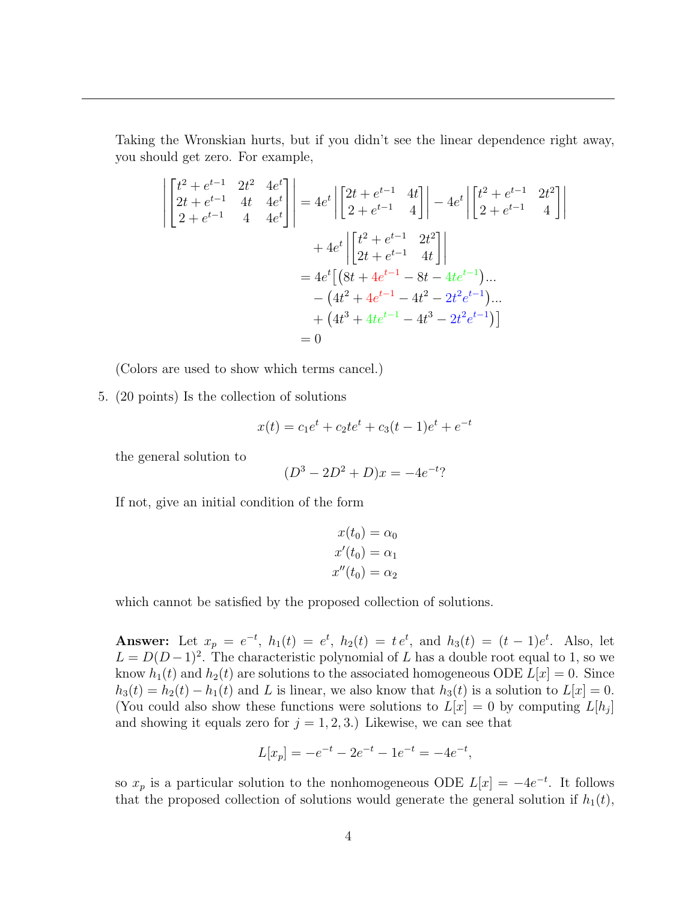Taking the Wronskian hurts, but if you didn't see the linear dependence right away, you should get zero. For example,

$$
\begin{aligned}\n\begin{vmatrix}\nt^2 + e^{t-1} & 2t^2 & 4e^t \\
2t + e^{t-1} & 4t & 4e^t \\
2 + e^{t-1} & 4 & 4e^t\n\end{vmatrix} &= 4e^t \left| \begin{bmatrix} 2t + e^{t-1} & 4t \\ 2 + e^{t-1} & 4 \end{bmatrix} \right| - 4e^t \left| \begin{bmatrix} t^2 + e^{t-1} & 2t^2 \\ 2 + e^{t-1} & 4 \end{bmatrix} \right| \\
&+ 4e^t \left| \begin{bmatrix} t^2 + e^{t-1} & 2t^2 \\ 2t + e^{t-1} & 4t \end{bmatrix} \right| \\
&= 4e^t \left[ (8t + 4e^{t-1} - 8t - 4te^{t-1}) \dots - (4t^2 + 4e^{t-1} - 4t^2 - 2t^2e^{t-1}) \dots + (4t^3 + 4te^{t-1} - 4t^3 - 2t^2e^{t-1}) \right] \\
&= 0\n\end{aligned}
$$

(Colors are used to show which terms cancel.)

5. (20 points) Is the collection of solutions

$$
x(t) = c_1 e^t + c_2 t e^t + c_3 (t - 1) e^t + e^{-t}
$$

the general solution to

$$
(D^3 - 2D^2 + D)x = -4e^{-t}
$$
?

If not, give an initial condition of the form

$$
x(t_0) = \alpha_0
$$
  

$$
x'(t_0) = \alpha_1
$$
  

$$
x''(t_0) = \alpha_2
$$

which cannot be satisfied by the proposed collection of solutions.

Answer: Let  $x_p = e^{-t}$ ,  $h_1(t) = e^t$ ,  $h_2(t) = t e^t$ , and  $h_3(t) = (t - 1)e^t$ . Also, let  $L = D(D-1)^2$ . The characteristic polynomial of L has a double root equal to 1, so we know  $h_1(t)$  and  $h_2(t)$  are solutions to the associated homogeneous ODE  $L[x] = 0$ . Since  $h_3(t) = h_2(t) - h_1(t)$  and L is linear, we also know that  $h_3(t)$  is a solution to  $L[x] = 0$ . (You could also show these functions were solutions to  $L[x] = 0$  by computing  $L[h_j]$ and showing it equals zero for  $j = 1, 2, 3$ . Likewise, we can see that

$$
L[x_p] = -e^{-t} - 2e^{-t} - 1e^{-t} = -4e^{-t},
$$

so  $x_p$  is a particular solution to the nonhomogeneous ODE  $L[x] = -4e^{-t}$ . It follows that the proposed collection of solutions would generate the general solution if  $h_1(t)$ ,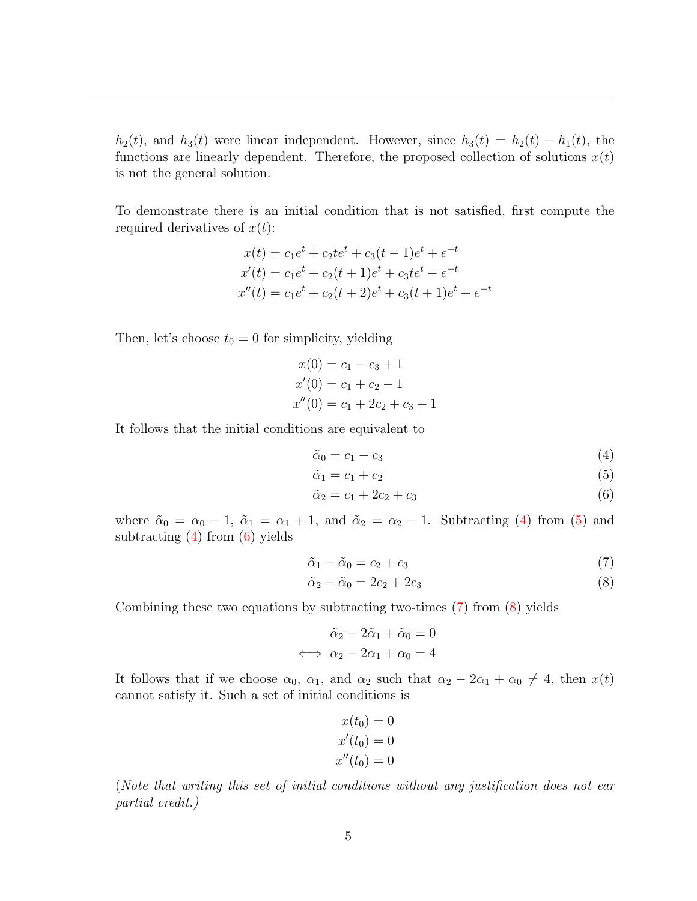$h_2(t)$ , and  $h_3(t)$  were linear independent. However, since  $h_3(t) = h_2(t) - h_1(t)$ , the functions are linearly dependent. Therefore, the proposed collection of solutions  $x(t)$ is not the general solution.

To demonstrate there is an initial condition that is not satisfied, first compute the required derivatives of  $x(t)$ :

$$
x(t) = c_1e^t + c_2te^t + c_3(t-1)e^t + e^{-t}
$$
  
\n
$$
x'(t) = c_1e^t + c_2(t+1)e^t + c_3te^t - e^{-t}
$$
  
\n
$$
x''(t) = c_1e^t + c_2(t+2)e^t + c_3(t+1)e^t + e^{-t}
$$

Then, let's choose  $t_0 = 0$  for simplicity, yielding

$$
x(0) = c_1 - c_3 + 1
$$
  
\n
$$
x'(0) = c_1 + c_2 - 1
$$
  
\n
$$
x''(0) = c_1 + 2c_2 + c_3 + 1
$$

It follows that the initial conditions are equivalent to

<span id="page-4-0"></span>
$$
\tilde{\alpha}_0 = c_1 - c_3 \tag{4}
$$

<span id="page-4-2"></span><span id="page-4-1"></span>
$$
\tilde{\alpha}_1 = c_1 + c_2 \tag{5}
$$

$$
\tilde{\alpha}_2 = c_1 + 2c_2 + c_3 \tag{6}
$$

where  $\tilde{\alpha}_0 = \alpha_0 - 1$ ,  $\tilde{\alpha}_1 = \alpha_1 + 1$ , and  $\tilde{\alpha}_2 = \alpha_2 - 1$ . Subtracting [\(4\)](#page-4-0) from [\(5\)](#page-4-1) and subtracting  $(4)$  from  $(6)$  yields

<span id="page-4-3"></span>
$$
\tilde{\alpha}_1 - \tilde{\alpha}_0 = c_2 + c_3 \tag{7}
$$

<span id="page-4-4"></span>
$$
\tilde{\alpha}_2 - \tilde{\alpha}_0 = 2c_2 + 2c_3 \tag{8}
$$

Combining these two equations by subtracting two-times [\(7\)](#page-4-3) from [\(8\)](#page-4-4) yields

$$
\tilde{\alpha}_2 - 2\tilde{\alpha}_1 + \tilde{\alpha}_0 = 0
$$
  

$$
\iff \alpha_2 - 2\alpha_1 + \alpha_0 = 4
$$

It follows that if we choose  $\alpha_0$ ,  $\alpha_1$ , and  $\alpha_2$  such that  $\alpha_2 - 2\alpha_1 + \alpha_0 \neq 4$ , then  $x(t)$ cannot satisfy it. Such a set of initial conditions is

$$
x(t0) = 0
$$
  
\n
$$
x'(t0) = 0
$$
  
\n
$$
x''(t0) = 0
$$

(Note that writing this set of initial conditions without any justification does not ear partial credit.)